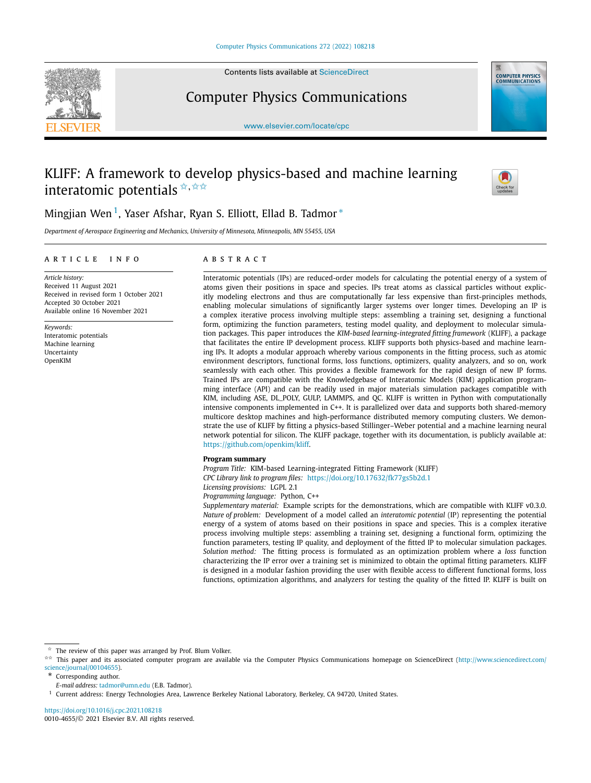

Contents lists available at [ScienceDirect](http://www.ScienceDirect.com/)

Computer Physics Communications



[www.elsevier.com/locate/cpc](http://www.elsevier.com/locate/cpc)

# KLIFF: A framework to develop physics-based and machine learning interatomic potentials **<del>** $\star$ **,**  $\star \star \star$ **</del>**



# Mingjian Wen<sup>1</sup>, Yaser Afshar, Ryan S. Elliott, Ellad B. Tadmor <sup>\*</sup>

*Department of Aerospace Engineering and Mechanics, University of Minnesota, Minneapolis, MN 55455, USA*

# A R T I C L E I N F O A B S T R A C T

Received in revised form 1 October 2021

Received 11 August 2021

Accepted 30 October 2021 Available online 16 November 2021

Interatomic potentials Machine learning Uncertainty OpenKIM

*Article history:*

*Keywords:*

Interatomic potentials (IPs) are reduced-order models for calculating the potential energy of a system of atoms given their positions in space and species. IPs treat atoms as classical particles without explicitly modeling electrons and thus are computationally far less expensive than first-principles methods, enabling molecular simulations of significantly larger systems over longer times. Developing an IP is a complex iterative process involving multiple steps: assembling a training set, designing a functional form, optimizing the function parameters, testing model quality, and deployment to molecular simulation packages. This paper introduces the *KIM-based learning-integrated fitting framework* (KLIFF), a package that facilitates the entire IP development process. KLIFF supports both physics-based and machine learning IPs. It adopts a modular approach whereby various components in the fitting process, such as atomic environment descriptors, functional forms, loss functions, optimizers, quality analyzers, and so on, work seamlessly with each other. This provides a flexible framework for the rapid design of new IP forms. Trained IPs are compatible with the Knowledgebase of Interatomic Models (KIM) application programming interface (API) and can be readily used in major materials simulation packages compatible with KIM, including ASE, DL\_POLY, GULP, LAMMPS, and QC. KLIFF is written in Python with computationally intensive components implemented in C++. It is parallelized over data and supports both shared-memory multicore desktop machines and high-performance distributed memory computing clusters. We demonstrate the use of KLIFF by fitting a physics-based Stillinger–Weber potential and a machine learning neural network potential for silicon. The KLIFF package, together with its documentation, is publicly available at: [https://github.com/openkim/kliff.](https://github.com/openkim/kliff)

## **Program summary**

*Program Title:* KIM-based Learning-integrated Fitting Framework (KLIFF) *CPC Library link to program files:* <https://doi.org/10.17632/fk77gs5b2d.1> *Licensing provisions:* LGPL 2.1

*Programming language:* Python, C++

*Supplementary material:* Example scripts for the demonstrations, which are compatible with KLIFF v0.3.0. *Nature of problem:* Development of a model called an *interatomic potential* (IP) representing the potential energy of a system of atoms based on their positions in space and species. This is a complex iterative process involving multiple steps: assembling a training set, designing a functional form, optimizing the function parameters, testing IP quality, and deployment of the fitted IP to molecular simulation packages. *Solution method:* The fitting process is formulated as an optimization problem where a *loss* function characterizing the IP error over a training set is minimized to obtain the optimal fitting parameters. KLIFF is designed in a modular fashion providing the user with flexible access to different functional forms, loss functions, optimization algorithms, and analyzers for testing the quality of the fitted IP. KLIFF is built on

The review of this paper was arranged by Prof. Blum Volker.

<sup>✩✩</sup> This paper and its associated computer program are available via the Computer Physics Communications homepage on ScienceDirect [\(http://www.sciencedirect.com/](http://www.sciencedirect.com/science/journal/00104655) [science/journal/00104655\)](http://www.sciencedirect.com/science/journal/00104655).

Corresponding author.

*E-mail address:* [tadmor@umn.edu](mailto:tadmor@umn.edu) (E.B. Tadmor).

<sup>1</sup> Current address: Energy Technologies Area, Lawrence Berkeley National Laboratory, Berkeley, CA 94720, United States.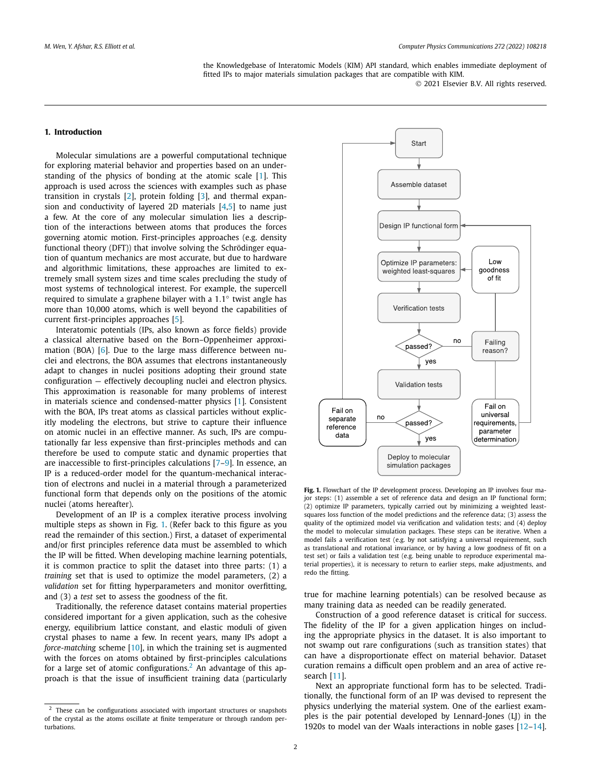the Knowledgebase of Interatomic Models (KIM) API standard, which enables immediate deployment of fitted IPs to major materials simulation packages that are compatible with KIM.

© 2021 Elsevier B.V. All rights reserved.

# <span id="page-1-0"></span>**1. Introduction**

Molecular simulations are a powerful computational technique for exploring material behavior and properties based on an understanding of the physics of bonding at the atomic scale [[1](#page-11-0)]. This approach is used across the sciences with examples such as phase transition in crystals [[2\]](#page-11-0), protein folding [\[3\]](#page-11-0), and thermal expansion and conductivity of layered 2D materials  $[4,5]$  $[4,5]$  $[4,5]$  $[4,5]$  to name just a few. At the core of any molecular simulation lies a description of the interactions between atoms that produces the forces governing atomic motion. First-principles approaches (e.g. density functional theory (DFT)) that involve solving the Schrödinger equation of quantum mechanics are most accurate, but due to hardware and algorithmic limitations, these approaches are limited to extremely small system sizes and time scales precluding the study of most systems of technological interest. For example, the supercell required to simulate a graphene bilayer with a 1*.*1◦ twist angle has more than 10,000 atoms, which is well beyond the capabilities of current first-principles approaches [[5](#page-11-0)].

Interatomic potentials (IPs, also known as force fields) provide a classical alternative based on the Born–Oppenheimer approximation (BOA) [[6](#page-11-0)]. Due to the large mass difference between nuclei and electrons, the BOA assumes that electrons instantaneously adapt to changes in nuclei positions adopting their ground state configuration — effectively decoupling nuclei and electron physics. This approximation is reasonable for many problems of interest in materials science and condensed-matter physics [\[1](#page-11-0)]. Consistent with the BOA, IPs treat atoms as classical particles without explicitly modeling the electrons, but strive to capture their influence on atomic nuclei in an effective manner. As such, IPs are computationally far less expensive than first-principles methods and can therefore be used to compute static and dynamic properties that are inaccessible to first-principles calculations [\[7–9](#page-11-0)]. In essence, an IP is a reduced-order model for the quantum-mechanical interaction of electrons and nuclei in a material through a parameterized functional form that depends only on the positions of the atomic nuclei (atoms hereafter).

Development of an IP is a complex iterative process involving multiple steps as shown in Fig. 1. (Refer back to this figure as you read the remainder of this section.) First, a dataset of experimental and/or first principles reference data must be assembled to which the IP will be fitted. When developing machine learning potentials, it is common practice to split the dataset into three parts: (1) a *training* set that is used to optimize the model parameters, (2) a *validation* set for fitting hyperparameters and monitor overfitting, and (3) a *test* set to assess the goodness of the fit.

Traditionally, the reference dataset contains material properties considered important for a given application, such as the cohesive energy, equilibrium lattice constant, and elastic moduli of given crystal phases to name a few. In recent years, many IPs adopt a *force-matching* scheme [\[10](#page-11-0)], in which the training set is augmented with the forces on atoms obtained by first-principles calculations for a large set of atomic configurations.<sup>2</sup> An advantage of this approach is that the issue of insufficient training data (particularly



**Fig. 1.** Flowchart of the IP development process. Developing an IP involves four major steps: (1) assemble a set of reference data and design an IP functional form; (2) optimize IP parameters, typically carried out by minimizing a weighted leastsquares loss function of the model predictions and the reference data; (3) assess the quality of the optimized model via verification and validation tests; and (4) deploy the model to molecular simulation packages. These steps can be iterative. When a model fails a verification test (e.g. by not satisfying a universal requirement, such as translational and rotational invariance, or by having a low goodness of fit on a test set) or fails a validation test (e.g. being unable to reproduce experimental material properties), it is necessary to return to earlier steps, make adjustments, and redo the fitting.

true for machine learning potentials) can be resolved because as many training data as needed can be readily generated.

Construction of a good reference dataset is critical for success. The fidelity of the IP for a given application hinges on including the appropriate physics in the dataset. It is also important to not swamp out rare configurations (such as transition states) that can have a disproportionate effect on material behavior. Dataset curation remains a difficult open problem and an area of active research [\[11](#page-11-0)].

Next an appropriate functional form has to be selected. Traditionally, the functional form of an IP was devised to represent the physics underlying the material system. One of the earliest examples is the pair potential developed by Lennard-Jones (LJ) in the 1920s to model van der Waals interactions in noble gases [[12](#page-11-0)–[14\]](#page-11-0).

<sup>&</sup>lt;sup>2</sup> These can be configurations associated with important structures or snapshots of the crystal as the atoms oscillate at finite temperature or through random perturbations.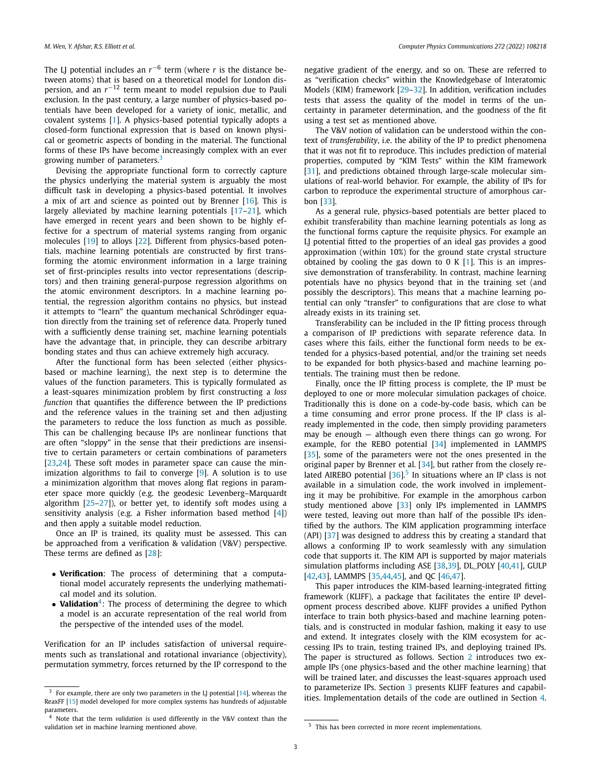The LJ potential includes an  $r^{-6}$  term (where *r* is the distance between atoms) that is based on a theoretical model for London dispersion, and an *r*−<sup>12</sup> term meant to model repulsion due to Pauli exclusion. In the past century, a large number of physics-based potentials have been developed for a variety of ionic, metallic, and covalent systems [[1](#page-11-0)]. A physics-based potential typically adopts a closed-form functional expression that is based on known physical or geometric aspects of bonding in the material. The functional forms of these IPs have become increasingly complex with an ever growing number of parameters. $3$ 

Devising the appropriate functional form to correctly capture the physics underlying the material system is arguably the most difficult task in developing a physics-based potential. It involves a mix of art and science as pointed out by Brenner [[16](#page-11-0)]. This is largely alleviated by machine learning potentials [[17](#page-11-0)–[21](#page-11-0)], which have emerged in recent years and been shown to be highly effective for a spectrum of material systems ranging from organic molecules [\[19](#page-11-0)] to alloys [[22](#page-11-0)]. Different from physics-based potentials, machine learning potentials are constructed by first transforming the atomic environment information in a large training set of first-principles results into vector representations (descriptors) and then training general-purpose regression algorithms on the atomic environment descriptors. In a machine learning potential, the regression algorithm contains no physics, but instead it attempts to "learn" the quantum mechanical Schrödinger equation directly from the training set of reference data. Properly tuned with a sufficiently dense training set, machine learning potentials have the advantage that, in principle, they can describe arbitrary bonding states and thus can achieve extremely high accuracy.

After the functional form has been selected (either physicsbased or machine learning), the next step is to determine the values of the function parameters. This is typically formulated as a least-squares minimization problem by first constructing a *loss function* that quantifies the difference between the IP predictions and the reference values in the training set and then adjusting the parameters to reduce the loss function as much as possible. This can be challenging because IPs are nonlinear functions that are often "sloppy" in the sense that their predictions are insensitive to certain parameters or certain combinations of parameters [\[23,24\]](#page-11-0). These soft modes in parameter space can cause the minimization algorithms to fail to converge [\[9\]](#page-11-0). A solution is to use a minimization algorithm that moves along flat regions in parameter space more quickly (e.g. the geodesic Levenberg–Marquardt algorithm  $[25-27]$ ), or better yet, to identify soft modes using a sensitivity analysis (e.g. a Fisher information based method [\[4\]](#page-11-0)) and then apply a suitable model reduction.

Once an IP is trained, its quality must be assessed. This can be approached from a verification & validation (V&V) perspective. These terms are defined as [[28](#page-11-0)]:

- **Verification**: The process of determining that a computational model accurately represents the underlying mathematical model and its solution.
- **Validation**<sup>4</sup>: The process of determining the degree to which a model is an accurate representation of the real world from the perspective of the intended uses of the model.

Verification for an IP includes satisfaction of universal requirements such as translational and rotational invariance (objectivity), permutation symmetry, forces returned by the IP correspond to the negative gradient of the energy, and so on. These are referred to as "verification checks" within the Knowledgebase of Interatomic Models (KIM) framework [\[29](#page-11-0)–[32](#page-11-0)]. In addition, verification includes tests that assess the quality of the model in terms of the uncertainty in parameter determination, and the goodness of the fit using a test set as mentioned above.

The V&V notion of validation can be understood within the context of *transferability*, i.e. the ability of the IP to predict phenomena that it was not fit to reproduce. This includes prediction of material properties, computed by "KIM Tests" within the KIM framework [\[31\]](#page-11-0), and predictions obtained through large-scale molecular simulations of real-world behavior. For example, the ability of IPs for carbon to reproduce the experimental structure of amorphous carbon [\[33\]](#page-11-0).

As a general rule, physics-based potentials are better placed to exhibit transferability than machine learning potentials as long as the functional forms capture the requisite physics. For example an LJ potential fitted to the properties of an ideal gas provides a good approximation (within 10%) for the ground state crystal structure obtained by cooling the gas down to 0 K  $[1]$ . This is an impressive demonstration of transferability. In contrast, machine learning potentials have no physics beyond that in the training set (and possibly the descriptors). This means that a machine learning potential can only "transfer" to configurations that are close to what already exists in its training set.

Transferability can be included in the IP fitting process through a comparison of IP predictions with separate reference data. In cases where this fails, either the functional form needs to be extended for a physics-based potential, and/or the training set needs to be expanded for both physics-based and machine learning potentials. The training must then be redone.

Finally, once the IP fitting process is complete, the IP must be deployed to one or more molecular simulation packages of choice. Traditionally this is done on a code-by-code basis, which can be a time consuming and error prone process. If the IP class is already implemented in the code, then simply providing parameters may be enough — although even there things can go wrong. For example, for the REBO potential [[34\]](#page-11-0) implemented in LAMMPS [\[35\]](#page-11-0), some of the parameters were not the ones presented in the original paper by Brenner et al. [[34](#page-11-0)], but rather from the closely related AIREBO potential  $[36]$ <sup>5</sup> In situations where an IP class is not available in a simulation code, the work involved in implementing it may be prohibitive. For example in the amorphous carbon study mentioned above [[33](#page-11-0)] only IPs implemented in LAMMPS were tested, leaving out more than half of the possible IPs identified by the authors. The KIM application programming interface (API) [\[37\]](#page-11-0) was designed to address this by creating a standard that allows a conforming IP to work seamlessly with any simulation code that supports it. The KIM API is supported by major materials simulation platforms including ASE [\[38,39](#page-11-0)], DL\_POLY [\[40,41](#page-11-0)], GULP [\[42,43\]](#page-11-0), LAMMPS [\[35,44,45\]](#page-11-0), and QC [\[46,47\]](#page-11-0).

This paper introduces the KIM-based learning-integrated fitting framework (KLIFF), a package that facilitates the entire IP development process described above. KLIFF provides a unified Python interface to train both physics-based and machine learning potentials, and is constructed in modular fashion, making it easy to use and extend. It integrates closely with the KIM ecosystem for accessing IPs to train, testing trained IPs, and deploying trained IPs. The paper is structured as follows. Section [2](#page-3-0) introduces two example IPs (one physics-based and the other machine learning) that will be trained later, and discusses the least-squares approach used to parameterize IPs. Section [3](#page-5-0) presents KLIFF features and capabilities. Implementation details of the code are outlined in Section [4.](#page-7-0)

 $3$  For example, there are only two parameters in the LJ potential [\[14\]](#page-11-0), whereas the ReaxFF [\[15\]](#page-11-0) model developed for more complex systems has hundreds of adjustable parameters.

<sup>4</sup> Note that the term *validation* is used differently in the V&V context than the validation set in machine learning mentioned above.

<sup>&</sup>lt;sup>5</sup> This has been corrected in more recent implementations.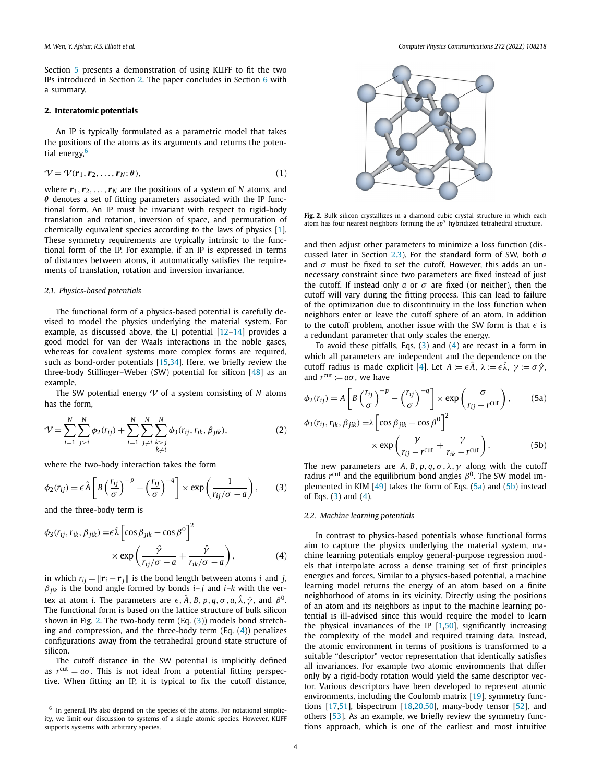<span id="page-3-0"></span>Section [5](#page-8-0) presents a demonstration of using KLIFF to fit the two IPs introduced in Section 2. The paper concludes in Section [6](#page-10-0) with a summary.

# **2. Interatomic potentials**

An IP is typically formulated as a parametric model that takes the positions of the atoms as its arguments and returns the potential energy,<sup>6</sup>

$$
\mathcal{V} = \mathcal{V}(\mathbf{r}_1, \mathbf{r}_2, \dots, \mathbf{r}_N; \boldsymbol{\theta}),\tag{1}
$$

where  $r_1, r_2, \ldots, r_N$  are the positions of a system of N atoms, and *θ* denotes a set of fitting parameters associated with the IP functional form. An IP must be invariant with respect to rigid-body translation and rotation, inversion of space, and permutation of chemically equivalent species according to the laws of physics [\[1\]](#page-11-0). These symmetry requirements are typically intrinsic to the functional form of the IP. For example, if an IP is expressed in terms of distances between atoms, it automatically satisfies the requirements of translation, rotation and inversion invariance.

### *2.1. Physics-based potentials*

The functional form of a physics-based potential is carefully devised to model the physics underlying the material system. For example, as discussed above, the LJ potential  $[12-14]$  provides a good model for van der Waals interactions in the noble gases, whereas for covalent systems more complex forms are required, such as bond-order potentials [\[15,34\]](#page-11-0). Here, we briefly review the three-body Stillinger–Weber (SW) potential for silicon [\[48](#page-11-0)] as an example.

The SW potential energy V of a system consisting of *N* atoms has the form,

$$
\mathcal{V} = \sum_{i=1}^{N} \sum_{j>i}^{N} \phi_2(r_{ij}) + \sum_{i=1}^{N} \sum_{\substack{j \neq i \\ k \neq i}}^{N} \sum_{k>j}^{N} \phi_3(r_{ij}, r_{ik}, \beta_{jik}),
$$
(2)

where the two-body interaction takes the form

$$
\phi_2(r_{ij}) = \epsilon \hat{A} \left[ B \left( \frac{r_{ij}}{\sigma} \right)^{-p} - \left( \frac{r_{ij}}{\sigma} \right)^{-q} \right] \times \exp \left( \frac{1}{r_{ij}/\sigma - a} \right), \quad (3)
$$

and the three-body term is

$$
\phi_3(r_{ij}, r_{ik}, \beta_{jik}) = \epsilon \hat{\lambda} \left[ \cos \beta_{jik} - \cos \beta^0 \right]^2
$$
  
 
$$
\times \exp \left( \frac{\hat{\gamma}}{r_{ij}/\sigma - a} + \frac{\hat{\gamma}}{r_{ik}/\sigma - a} \right), \tag{4}
$$

in which  $r_{ij} = ||\mathbf{r}_i - \mathbf{r}_j||$  is the bond length between atoms *i* and *j*,  $\beta$ <sub>*jik*</sub> is the bond angle formed by bonds *i*–*j* and *i*–*k* with the vertex at atom *i*. The parameters are  $\epsilon$ ,  $\hat{A}$ ,  $B$ ,  $p$ ,  $q$ ,  $\sigma$ ,  $a$ ,  $\hat{\lambda}$ ,  $\hat{\gamma}$ , and  $\beta^0$ . The functional form is based on the lattice structure of bulk silicon shown in Fig. 2. The two-body term (Eq. (3)) models bond stretching and compression, and the three-body term  $(Eq. (4))$  penalizes configurations away from the tetrahedral ground state structure of silicon.

The cutoff distance in the SW potential is implicitly defined as  $r^{\text{cut}} = a\sigma$ . This is not ideal from a potential fitting perspective. When fitting an IP, it is typical to fix the cutoff distance,



**Fig. 2.** Bulk silicon crystallizes in a diamond cubic crystal structure in which each atom has four nearest neighbors forming the *sp*<sup>3</sup> hybridized tetrahedral structure.

and then adjust other parameters to minimize a loss function (discussed later in Section [2.3\)](#page-4-0). For the standard form of SW, both *a* and  $\sigma$  must be fixed to set the cutoff. However, this adds an unnecessary constraint since two parameters are fixed instead of just the cutoff. If instead only  $a$  or  $\sigma$  are fixed (or neither), then the cutoff will vary during the fitting process. This can lead to failure of the optimization due to discontinuity in the loss function when neighbors enter or leave the cutoff sphere of an atom. In addition to the cutoff problem, another issue with the SW form is that  $\epsilon$  is a redundant parameter that only scales the energy.

To avoid these pitfalls, Eqs.  $(3)$  and  $(4)$  are recast in a form in which all parameters are independent and the dependence on the cutoff radius is made explicit [[4](#page-11-0)]. Let  $A := \epsilon \hat{A}$ ,  $\lambda := \epsilon \hat{\lambda}$ ,  $\gamma := \sigma \hat{\gamma}$ , and  $r^{\text{cut}} := a\sigma$ , we have

$$
\phi_2(r_{ij}) = A \left[ B \left( \frac{r_{ij}}{\sigma} \right)^{-p} - \left( \frac{r_{ij}}{\sigma} \right)^{-q} \right] \times \exp \left( \frac{\sigma}{r_{ij} - r^{\text{cut}}} \right), \qquad (5a)
$$

$$
\phi_3(r_{ij}, r_{ik}, \beta_{jik}) = \lambda \left[ \cos \beta_{jik} - \cos \beta^0 \right]^2
$$

$$
\times \exp \left( \frac{\gamma}{r_{ij} - r^{\text{cut}}} + \frac{\gamma}{r_{ik} - r^{\text{cut}}} \right). \qquad (5b)
$$

The new parameters are  $A$ ,  $B$ ,  $p$ ,  $q$ ,  $\sigma$ ,  $\lambda$ ,  $\gamma$  along with the cutoff radius  $r^{\text{cut}}$  and the equilibrium bond angles  $\beta^0$ . The SW model implemented in KIM [[49](#page-11-0)] takes the form of Eqs. (5a) and (5b) instead of Eqs. (3) and (4).

## *2.2. Machine learning potentials*

In contrast to physics-based potentials whose functional forms aim to capture the physics underlying the material system, machine learning potentials employ general-purpose regression models that interpolate across a dense training set of first principles energies and forces. Similar to a physics-based potential, a machine learning model returns the energy of an atom based on a finite neighborhood of atoms in its vicinity. Directly using the positions of an atom and its neighbors as input to the machine learning potential is ill-advised since this would require the model to learn the physical invariances of the IP  $[1,50]$  $[1,50]$ , significantly increasing the complexity of the model and required training data. Instead, the atomic environment in terms of positions is transformed to a suitable "descriptor" vector representation that identically satisfies all invariances. For example two atomic environments that differ only by a rigid-body rotation would yield the same descriptor vector. Various descriptors have been developed to represent atomic environments, including the Coulomb matrix [[19](#page-11-0)], symmetry functions [[17](#page-11-0),[51](#page-11-0)], bispectrum [[18,20,50](#page-11-0)], many-body tensor [[52](#page-11-0)], and others [[53](#page-11-0)]. As an example, we briefly review the symmetry functions approach, which is one of the earliest and most intuitive

 $6$  In general, IPs also depend on the species of the atoms. For notational simplicity, we limit our discussion to systems of a single atomic species. However, KLIFF supports systems with arbitrary species.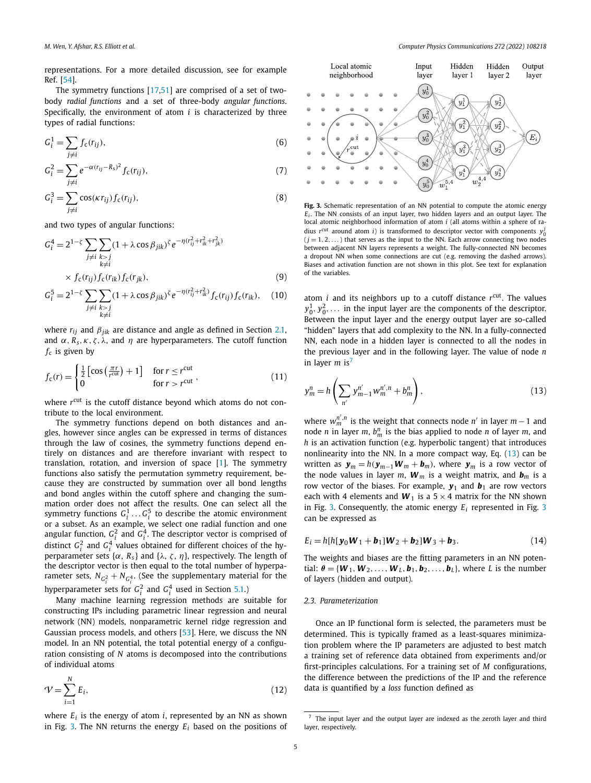<span id="page-4-0"></span>representations. For a more detailed discussion, see for example Ref. [[54](#page-12-0)].

The symmetry functions [\[17,51](#page-11-0)] are comprised of a set of twobody *radial functions* and a set of three-body *angular functions*. Specifically, the environment of atom *i* is characterized by three types of radial functions:

$$
G_i^1 = \sum_{j \neq i} f_c(r_{ij}),\tag{6}
$$

$$
G_i^2 = \sum_{j \neq i} e^{-\alpha (r_{ij} - R_s)^2} f_c(r_{ij}),
$$
\n(7)

$$
G_i^3 = \sum_{j \neq i} \cos(\kappa r_{ij}) f_c(r_{ij}), \tag{8}
$$

and two types of angular functions:

$$
G_i^4 = 2^{1-\zeta} \sum_{\substack{j \neq i}} \sum_{\substack{k > j \\ k \neq i}} (1 + \lambda \cos \beta_{jik})^{\zeta} e^{-\eta (r_{ij}^2 + r_{ik}^2 + r_{jk}^2)}
$$
  
 
$$
\times f_c(r_{ij}) f_c(r_{ik}) f_c(r_{ik}), \qquad (9)
$$

$$
G_i^5 = 2^{1-\zeta} \sum_{\substack{j \neq i}} \sum_{\substack{k > j \\ k \neq i}} (1 + \lambda \cos \beta_{jik})^{\zeta} e^{-\eta (r_{ij}^2 + r_{ik}^2)} f_c(r_{ij}) f_c(r_{ik}), \quad (10)
$$

where *rij* and *βjik* are distance and angle as defined in Section [2.1,](#page-3-0) and  $\alpha$ ,  $\overline{R}_s$ ,  $\kappa$ ,  $\zeta$ ,  $\lambda$ , and  $\eta$  are hyperparameters. The cutoff function  $f_c$  is given by

$$
f_{c}(r) = \begin{cases} \frac{1}{2} \left[ \cos\left(\frac{\pi r}{r^{\text{cut}}} \right) + 1 \right] & \text{for } r \le r^{\text{cut}}\\ 0 & \text{for } r > r^{\text{cut}} \end{cases} \tag{11}
$$

where  $r^{\text{cut}}$  is the cutoff distance beyond which atoms do not contribute to the local environment.

The symmetry functions depend on both distances and angles, however since angles can be expressed in terms of distances through the law of cosines, the symmetry functions depend entirely on distances and are therefore invariant with respect to translation, rotation, and inversion of space [\[1](#page-11-0)]. The symmetry functions also satisfy the permutation symmetry requirement, because they are constructed by summation over all bond lengths and bond angles within the cutoff sphere and changing the summation order does not affect the results. One can select all the symmetry functions  $G_i^1 \dots G_i^5$  to describe the atomic environment or a subset. As an example, we select one radial function and one angular function,  $G_i^2$  and  $G_i^4$ . The descriptor vector is comprised of distinct  $G_i^2$  and  $G_i^4$  values obtained for different choices of the hyperparameter sets { $\alpha$ ,  $R_s$ } and { $\lambda$ ,  $\zeta$ ,  $\eta$ }, respectively. The length of the descriptor vector is then equal to the total number of hyperparameter sets,  $N_{G_i^2}+N_{G_i^4}$ . (See the supplementary material for the hyperparameter sets for  $G_i^2$  and  $G_i^4$  used in Section [5.1.](#page-9-0))

Many machine learning regression methods are suitable for constructing IPs including parametric linear regression and neural network (NN) models, nonparametric kernel ridge regression and Gaussian process models, and others [\[53\]](#page-11-0). Here, we discuss the NN model. In an NN potential, the total potential energy of a configuration consisting of *N* atoms is decomposed into the contributions of individual atoms

$$
\mathcal{V} = \sum_{i=1}^{N} E_i,\tag{12}
$$

*N*

where  $E_i$  is the energy of atom  $i$ , represented by an NN as shown in Fig. 3. The NN returns the energy *Ei* based on the positions of



**Fig. 3.** Schematic representation of an NN potential to compute the atomic energy *Ei* . The NN consists of an input layer, two hidden layers and an output layer. The local atomic neighborhood information of atom *i* (all atoms within a sphere of radius  $r^{\text{cut}}$  around atom *i*) is transformed to descriptor vector with components  $y_0^j$  $(j = 1, 2, ...)$  that serves as the input to the NN. Each arrow connecting two nodes between adjacent NN layers represents a weight. The fully-connected NN becomes a dropout NN when some connections are cut (e.g. removing the dashed arrows). Biases and activation function are not shown in this plot. See text for explanation of the variables.

atom *i* and its neighbors up to a cutoff distance *r*cut. The values  $y_0^1, y_0^2, \ldots$  in the input layer are the components of the descriptor. Between the input layer and the energy output layer are so-called "hidden" layers that add complexity to the NN. In a fully-connected NN, each node in a hidden layer is connected to all the nodes in the previous layer and in the following layer. The value of node *n* in layer  $m$  is<sup>7</sup>

$$
y_m^n = h\left(\sum_{n'} y_{m-1}^{n'} w_m^{n',n} + b_m^n\right),\tag{13}
$$

where  $w_m^{n',n}$  is the weight that connects node  $n'$  in layer  $m-1$  and node *n* in layer *m*,  $b_m^n$  is the bias applied to node *n* of layer *m*, and *h* is an activation function (e.g. hyperbolic tangent) that introduces nonlinearity into the NN. In a more compact way, Eq. (13) can be written as  $y_m = h(y_{m-1}W_m + b_m)$ , where  $y_m$  is a row vector of the node values in layer *m*,  $W_m$  is a weight matrix, and  $b_m$  is a row vector of the biases. For example,  $y_1$  and  $b_1$  are row vectors each with 4 elements and  $W_1$  is a  $5 \times 4$  matrix for the NN shown in Fig. 3. Consequently, the atomic energy *Ei* represented in Fig. 3 can be expressed as

$$
E_i = h[h[y_0 W_1 + b_1]W_2 + b_2]W_3 + b_3.
$$
 (14)

The weights and biases are the fitting parameters in an NN potential:  $\theta = \{W_1, W_2, \ldots, W_L, b_1, b_2, \ldots, b_L\}$ , where *L* is the number of layers (hidden and output).

#### *2.3. Parameterization*

Once an IP functional form is selected, the parameters must be determined. This is typically framed as a least-squares minimization problem where the IP parameters are adjusted to best match a training set of reference data obtained from experiments and/or first-principles calculations. For a training set of *M* configurations, the difference between the predictions of the IP and the reference data is quantified by a *loss* function defined as

<sup>7</sup> The input layer and the output layer are indexed as the zeroth layer and third layer, respectively.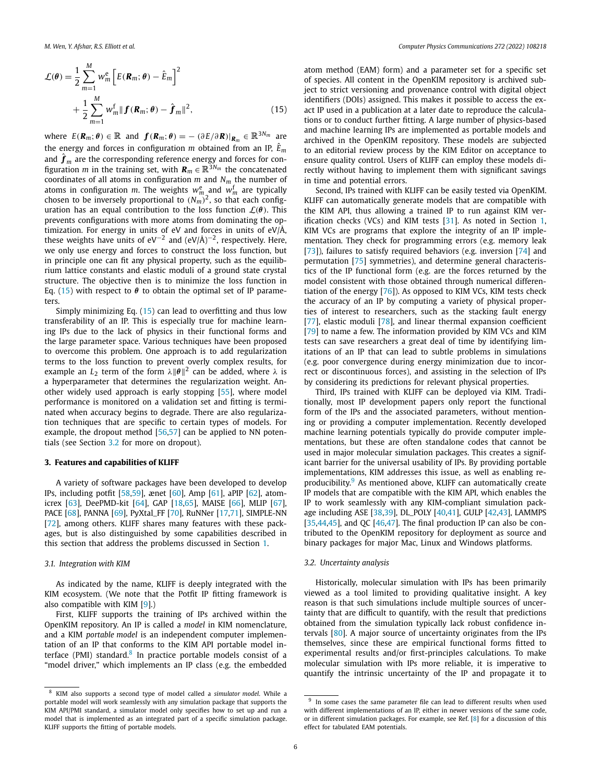<span id="page-5-0"></span>
$$
\mathcal{L}(\theta) = \frac{1}{2} \sum_{m=1}^{M} w_m^e \left[ E(\mathbf{R}_m; \theta) - \hat{E}_m \right]^2
$$
  
+ 
$$
\frac{1}{2} \sum_{m=1}^{M} w_m^f \| \mathbf{f}(\mathbf{R}_m; \theta) - \hat{\mathbf{f}}_m \|^2,
$$
(15)

where  $E(\mathbf{R}_m; \theta) \in \mathbb{R}$  and  $\mathbf{f}(\mathbf{R}_m; \theta) = -(\partial E/\partial \mathbf{R})|_{\mathbf{R}_m} \in \mathbb{R}^{3N_m}$  are the energy and forces in configuration  $m$  obtained from an IP,  $\hat{E}_m$ and  $\hat{\boldsymbol{f}}_m$  are the corresponding reference energy and forces for configuration *m* in the training set, with  $\mathbf{R}_m \in \mathbb{R}^{3N_m}$  the concatenated coordinates of all atoms in configuration *m* and *Nm* the number of atoms in configuration *m*. The weights  $w_{m}^{e}$  and  $w_{m}^{f}$  are typically chosen to be inversely proportional to  $(N_m)^2$ , so that each configuration has an equal contribution to the loss function  $\mathcal{L}(\theta)$ . This prevents configurations with more atoms from dominating the optimization. For energy in units of eV and forces in units of eV/Å, these weights have units of eV<sup>-2</sup> and (eV/Å)<sup>-2</sup>, respectively. Here, we only use energy and forces to construct the loss function, but in principle one can fit any physical property, such as the equilibrium lattice constants and elastic moduli of a ground state crystal structure. The objective then is to minimize the loss function in Eq. (15) with respect to  $\theta$  to obtain the optimal set of IP parameters.

Simply minimizing Eq. (15) can lead to overfitting and thus low transferability of an IP. This is especially true for machine learning IPs due to the lack of physics in their functional forms and the large parameter space. Various techniques have been proposed to overcome this problem. One approach is to add regularization terms to the loss function to prevent overly complex results, for example an  $L_2$  term of the form  $\lambda \|\theta\|^2$  can be added, where  $\lambda$  is a hyperparameter that determines the regularization weight. Another widely used approach is early stopping [\[55\]](#page-12-0), where model performance is monitored on a validation set and fitting is terminated when accuracy begins to degrade. There are also regularization techniques that are specific to certain types of models. For example, the dropout method [\[56,57\]](#page-12-0) can be applied to NN potentials (see Section 3.2 for more on dropout).

#### **3. Features and capabilities of KLIFF**

A variety of software packages have been developed to develop IPs, including potfit [\[58,59](#page-12-0)], ænet [[60](#page-12-0)], Amp [\[61\]](#page-12-0), aPIP [\[62\]](#page-12-0), atomicrex [\[63\]](#page-12-0), DeePMD-kit [[64](#page-12-0)], GAP [[18](#page-11-0),[65](#page-12-0)], MAISE [\[66\]](#page-12-0), MLIP [[67\]](#page-12-0), PACE [\[68\]](#page-12-0), PANNA [[69](#page-12-0)], PyXtal\_FF [[70](#page-12-0)], RuNNer [[17](#page-11-0),[71](#page-12-0)], SIMPLE-NN [\[72\]](#page-12-0), among others. KLIFF shares many features with these packages, but is also distinguished by some capabilities described in this section that address the problems discussed in Section [1](#page-1-0).

#### *3.1. Integration with KIM*

As indicated by the name, KLIFF is deeply integrated with the KIM ecosystem. (We note that the Potfit IP fitting framework is also compatible with KIM [\[9\]](#page-11-0).)

First, KLIFF supports the training of IPs archived within the OpenKIM repository. An IP is called a *model* in KIM nomenclature, and a KIM *portable model* is an independent computer implementation of an IP that conforms to the KIM API portable model interface (PMI) standard.<sup>8</sup> In practice portable models consist of a "model driver," which implements an IP class (e.g. the embedded

atom method (EAM) form) and a parameter set for a specific set of species. All content in the OpenKIM repository is archived subject to strict versioning and provenance control with digital object identifiers (DOIs) assigned. This makes it possible to access the exact IP used in a publication at a later date to reproduce the calculations or to conduct further fitting. A large number of physics-based and machine learning IPs are implemented as portable models and archived in the OpenKIM repository. These models are subjected to an editorial review process by the KIM Editor on acceptance to ensure quality control. Users of KLIFF can employ these models directly without having to implement them with significant savings in time and potential errors.

Second, IPs trained with KLIFF can be easily tested via OpenKIM. KLIFF can automatically generate models that are compatible with the KIM API, thus allowing a trained IP to run against KIM verification checks (VCs) and KIM tests [\[31](#page-11-0)]. As noted in Section [1,](#page-1-0) KIM VCs are programs that explore the integrity of an IP implementation. They check for programming errors (e.g. memory leak [\[73\]](#page-12-0)), failures to satisfy required behaviors (e.g. inversion [[74\]](#page-12-0) and permutation [[75](#page-12-0)] symmetries), and determine general characteristics of the IP functional form (e.g. are the forces returned by the model consistent with those obtained through numerical differentiation of the energy [\[76\]](#page-12-0)). As opposed to KIM VCs, KIM tests check the accuracy of an IP by computing a variety of physical properties of interest to researchers, such as the stacking fault energy [\[77\]](#page-12-0), elastic moduli [\[78\]](#page-12-0), and linear thermal expansion coefficient [\[79\]](#page-12-0) to name a few. The information provided by KIM VCs and KIM tests can save researchers a great deal of time by identifying limitations of an IP that can lead to subtle problems in simulations (e.g. poor convergence during energy minimization due to incorrect or discontinuous forces), and assisting in the selection of IPs by considering its predictions for relevant physical properties.

Third, IPs trained with KLIFF can be deployed via KIM. Traditionally, most IP development papers only report the functional form of the IPs and the associated parameters, without mentioning or providing a computer implementation. Recently developed machine learning potentials typically do provide computer implementations, but these are often standalone codes that cannot be used in major molecular simulation packages. This creates a significant barrier for the universal usability of IPs. By providing portable implementations, KIM addresses this issue, as well as enabling reproducibility.<sup>9</sup> As mentioned above, KLIFF can automatically create IP models that are compatible with the KIM API, which enables the IP to work seamlessly with any KIM-compliant simulation package including ASE [\[38,39\]](#page-11-0), DL\_POLY [\[40,41](#page-11-0)], GULP [\[42,43](#page-11-0)], LAMMPS [\[35,44,45\]](#page-11-0), and QC  $[46,47]$  $[46,47]$  $[46,47]$ . The final production IP can also be contributed to the OpenKIM repository for deployment as source and binary packages for major Mac, Linux and Windows platforms.

#### *3.2. Uncertainty analysis*

Historically, molecular simulation with IPs has been primarily viewed as a tool limited to providing qualitative insight. A key reason is that such simulations include multiple sources of uncertainty that are difficult to quantify, with the result that predictions obtained from the simulation typically lack robust confidence intervals [\[80\]](#page-12-0). A major source of uncertainty originates from the IPs themselves, since these are empirical functional forms fitted to experimental results and/or first-principles calculations. To make molecular simulation with IPs more reliable, it is imperative to quantify the intrinsic uncertainty of the IP and propagate it to

<sup>8</sup> KIM also supports a second type of model called a *simulator model*. While a portable model will work seamlessly with any simulation package that supports the KIM API/PMI standard, a simulator model only specifies how to set up and run a model that is implemented as an integrated part of a specific simulation package. KLIFF supports the fitting of portable models.

 $9$  In some cases the same parameter file can lead to different results when used with different implementations of an IP, either in newer versions of the same code, or in different simulation packages. For example, see Ref. [[8](#page-11-0)] for a discussion of this effect for tabulated EAM potentials.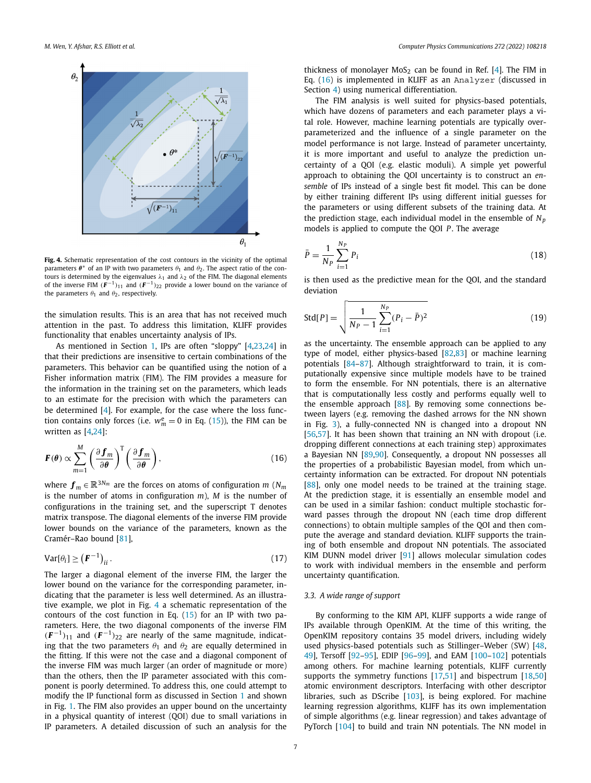<span id="page-6-0"></span>

**Fig. 4.** Schematic representation of the cost contours in the vicinity of the optimal parameters  $\theta^*$  of an IP with two parameters  $\theta_1$  and  $\theta_2$ . The aspect ratio of the contours is determined by the eigenvalues  $λ_1$  and  $λ_2$  of the FIM. The diagonal elements of the inverse FIM  $(F^{-1})_{11}$  and  $(F^{-1})_{22}$  provide a lower bound on the variance of the parameters  $\theta_1$  and  $\theta_2$ , respectively.

the simulation results. This is an area that has not received much attention in the past. To address this limitation, KLIFF provides functionality that enables uncertainty analysis of IPs.

As mentioned in Section [1](#page-1-0), IPs are often "sloppy" [\[4,23,24\]](#page-11-0) in that their predictions are insensitive to certain combinations of the parameters. This behavior can be quantified using the notion of a Fisher information matrix (FIM). The FIM provides a measure for the information in the training set on the parameters, which leads to an estimate for the precision with which the parameters can be determined [[4](#page-11-0)]. For example, for the case where the loss function contains only forces (i.e.  $w_m^e = 0$  in Eq. ([15](#page-5-0))), the FIM can be written as [\[4,24](#page-11-0)]:

$$
\boldsymbol{F}(\boldsymbol{\theta}) \propto \sum_{m=1}^{M} \left(\frac{\partial \boldsymbol{f}_m}{\partial \boldsymbol{\theta}}\right)^{\mathrm{T}} \left(\frac{\partial \boldsymbol{f}_m}{\partial \boldsymbol{\theta}}\right),\tag{16}
$$

where  $f_m \in \mathbb{R}^{3N_m}$  are the forces on atoms of configuration *m* ( $N_m$ ) is the number of atoms in configuration *m*), *M* is the number of configurations in the training set, and the superscript T denotes matrix transpose. The diagonal elements of the inverse FIM provide lower bounds on the variance of the parameters, known as the Cramér–Rao bound [\[81](#page-12-0)],

$$
\text{Var}[\theta_i] \ge \left(\mathbf{F}^{-1}\right)_{ii}.\tag{17}
$$

The larger a diagonal element of the inverse FIM, the larger the lower bound on the variance for the corresponding parameter, indicating that the parameter is less well determined. As an illustrative example, we plot in Fig. 4 a schematic representation of the contours of the cost function in Eq.  $(15)$  $(15)$  for an IP with two parameters. Here, the two diagonal components of the inverse FIM  $(F^{-1})_{11}$  and  $(F^{-1})_{22}$  are nearly of the same magnitude, indicating that the two parameters  $\theta_1$  and  $\theta_2$  are equally determined in the fitting. If this were not the case and a diagonal component of the inverse FIM was much larger (an order of magnitude or more) than the others, then the IP parameter associated with this component is poorly determined. To address this, one could attempt to modify the IP functional form as discussed in Section [1](#page-1-0) and shown in Fig. [1.](#page-1-0) The FIM also provides an upper bound on the uncertainty in a physical quantity of interest (QOI) due to small variations in IP parameters. A detailed discussion of such an analysis for the

thickness of monolayer MoS<sub>2</sub> can be found in Ref. [[4\]](#page-11-0). The FIM in Eq. (16) is implemented in KLIFF as an Analyzer (discussed in Section [4](#page-7-0)) using numerical differentiation.

The FIM analysis is well suited for physics-based potentials, which have dozens of parameters and each parameter plays a vital role. However, machine learning potentials are typically overparameterized and the influence of a single parameter on the model performance is not large. Instead of parameter uncertainty, it is more important and useful to analyze the prediction uncertainty of a QOI (e.g. elastic moduli). A simple yet powerful approach to obtaining the QOI uncertainty is to construct an *ensemble* of IPs instead of a single best fit model. This can be done by either training different IPs using different initial guesses for the parameters or using different subsets of the training data. At the prediction stage, each individual model in the ensemble of  $N_p$ models is applied to compute the QOI *P* . The average

$$
\bar{P} = \frac{1}{N_P} \sum_{i=1}^{N_P} P_i
$$
\n(18)

is then used as the predictive mean for the QOI, and the standard deviation

$$
Std[P] = \sqrt{\frac{1}{N_P - 1} \sum_{i=1}^{N_P} (P_i - \bar{P})^2}
$$
 (19)

as the uncertainty. The ensemble approach can be applied to any type of model, either physics-based [\[82,83\]](#page-12-0) or machine learning potentials [\[84–87\]](#page-12-0). Although straightforward to train, it is computationally expensive since multiple models have to be trained to form the ensemble. For NN potentials, there is an alternative that is computationally less costly and performs equally well to the ensemble approach [\[88](#page-12-0)]. By removing some connections between layers (e.g. removing the dashed arrows for the NN shown in Fig. [3](#page-4-0)), a fully-connected NN is changed into a dropout NN [\[56,57\]](#page-12-0). It has been shown that training an NN with dropout (i.e. dropping different connections at each training step) approximates a Bayesian NN [[89](#page-12-0),[90](#page-12-0)]. Consequently, a dropout NN possesses all the properties of a probabilistic Bayesian model, from which uncertainty information can be extracted. For dropout NN potentials [\[88\]](#page-12-0), only one model needs to be trained at the training stage. At the prediction stage, it is essentially an ensemble model and can be used in a similar fashion: conduct multiple stochastic forward passes through the dropout NN (each time drop different connections) to obtain multiple samples of the QOI and then compute the average and standard deviation. KLIFF supports the training of both ensemble and dropout NN potentials. The associated KIM DUNN model driver [[91](#page-12-0)] allows molecular simulation codes to work with individual members in the ensemble and perform uncertainty quantification.

#### *3.3. A wide range of support*

By conforming to the KIM API, KLIFF supports a wide range of IPs available through OpenKIM. At the time of this writing, the OpenKIM repository contains 35 model drivers, including widely used physics-based potentials such as Stillinger–Weber (SW) [\[48,](#page-11-0) [49\]](#page-11-0), Tersoff [\[92–95](#page-12-0)], EDIP [\[96–99](#page-12-0)], and EAM [\[100](#page-12-0)–[102\]](#page-12-0) potentials among others. For machine learning potentials, KLIFF currently supports the symmetry functions [\[17,51\]](#page-11-0) and bispectrum [\[18,50\]](#page-11-0) atomic environment descriptors. Interfacing with other descriptor libraries, such as DScribe [\[103](#page-12-0)], is being explored. For machine learning regression algorithms, KLIFF has its own implementation of simple algorithms (e.g. linear regression) and takes advantage of PyTorch [\[104\]](#page-12-0) to build and train NN potentials. The NN model in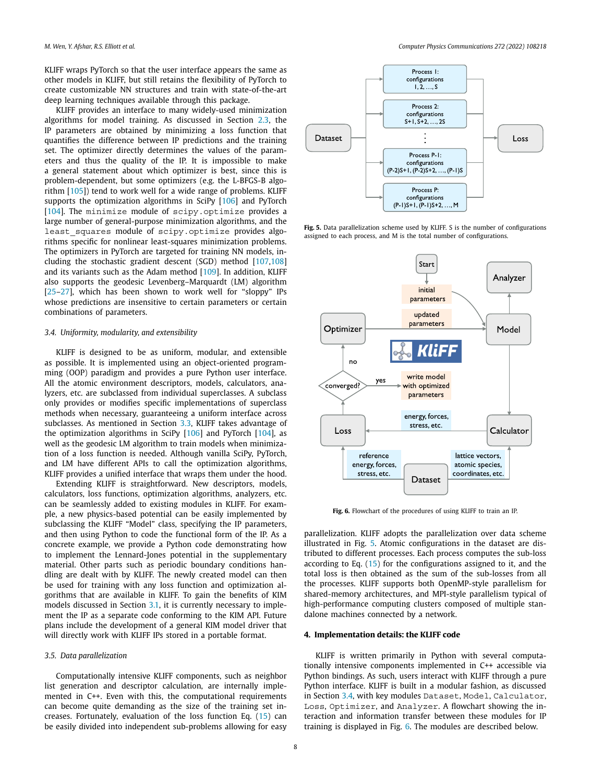<span id="page-7-0"></span>KLIFF wraps PyTorch so that the user interface appears the same as other models in KLIFF, but still retains the flexibility of PyTorch to create customizable NN structures and train with state-of-the-art deep learning techniques available through this package.

KLIFF provides an interface to many widely-used minimization algorithms for model training. As discussed in Section [2.3,](#page-4-0) the IP parameters are obtained by minimizing a loss function that quantifies the difference between IP predictions and the training set. The optimizer directly determines the values of the parameters and thus the quality of the IP. It is impossible to make a general statement about which optimizer is best, since this is problem-dependent, but some optimizers (e.g. the L-BFGS-B algorithm [\[105\]](#page-12-0)) tend to work well for a wide range of problems. KLIFF supports the optimization algorithms in SciPy [\[106](#page-12-0)] and PyTorch [\[104](#page-12-0)]. The minimize module of scipy.optimize provides a large number of general-purpose minimization algorithms, and the least\_squares module of scipy.optimize provides algorithms specific for nonlinear least-squares minimization problems. The optimizers in PyTorch are targeted for training NN models, including the stochastic gradient descent (SGD) method [\[107](#page-12-0),[108\]](#page-12-0) and its variants such as the Adam method [[109\]](#page-12-0). In addition, KLIFF also supports the geodesic Levenberg–Marquardt (LM) algorithm [\[25–27\]](#page-11-0), which has been shown to work well for "sloppy" IPs whose predictions are insensitive to certain parameters or certain combinations of parameters.

#### *3.4. Uniformity, modularity, and extensibility*

KLIFF is designed to be as uniform, modular, and extensible as possible. It is implemented using an object-oriented programming (OOP) paradigm and provides a pure Python user interface. All the atomic environment descriptors, models, calculators, analyzers, etc. are subclassed from individual superclasses. A subclass only provides or modifies specific implementations of superclass methods when necessary, guaranteeing a uniform interface across subclasses. As mentioned in Section [3.3](#page-6-0), KLIFF takes advantage of the optimization algorithms in SciPy  $[106]$  $[106]$  and PyTorch  $[104]$  $[104]$  $[104]$ , as well as the geodesic LM algorithm to train models when minimization of a loss function is needed. Although vanilla SciPy, PyTorch, and LM have different APIs to call the optimization algorithms, KLIFF provides a unified interface that wraps them under the hood.

Extending KLIFF is straightforward. New descriptors, models, calculators, loss functions, optimization algorithms, analyzers, etc. can be seamlessly added to existing modules in KLIFF. For example, a new physics-based potential can be easily implemented by subclassing the KLIFF "Model" class, specifying the IP parameters, and then using Python to code the functional form of the IP. As a concrete example, we provide a Python code demonstrating how to implement the Lennard-Jones potential in the supplementary material. Other parts such as periodic boundary conditions handling are dealt with by KLIFF. The newly created model can then be used for training with any loss function and optimization algorithms that are available in KLIFF. To gain the benefits of KIM models discussed in Section [3.1](#page-5-0), it is currently necessary to implement the IP as a separate code conforming to the KIM API. Future plans include the development of a general KIM model driver that will directly work with KLIFF IPs stored in a portable format.

#### *3.5. Data parallelization*

Computationally intensive KLIFF components, such as neighbor list generation and descriptor calculation, are internally implemented in C++. Even with this, the computational requirements can become quite demanding as the size of the training set increases. Fortunately, evaluation of the loss function Eq. [\(15\)](#page-5-0) can be easily divided into independent sub-problems allowing for easy



**Fig. 5.** Data parallelization scheme used by KLIFF. S is the number of configurations assigned to each process, and M is the total number of configurations.



**Fig. 6.** Flowchart of the procedures of using KLIFF to train an IP.

parallelization. KLIFF adopts the parallelization over data scheme illustrated in Fig. 5. Atomic configurations in the dataset are distributed to different processes. Each process computes the sub-loss according to Eq. [\(15](#page-5-0)) for the configurations assigned to it, and the total loss is then obtained as the sum of the sub-losses from all the processes. KLIFF supports both OpenMP-style parallelism for shared-memory architectures, and MPI-style parallelism typical of high-performance computing clusters composed of multiple standalone machines connected by a network.

#### **4. Implementation details: the KLIFF code**

KLIFF is written primarily in Python with several computationally intensive components implemented in C++ accessible via Python bindings. As such, users interact with KLIFF through a pure Python interface. KLIFF is built in a modular fashion, as discussed in Section 3.4, with key modules Dataset, Model, Calculator, Loss, Optimizer, and Analyzer. A flowchart showing the interaction and information transfer between these modules for IP training is displayed in Fig. 6. The modules are described below.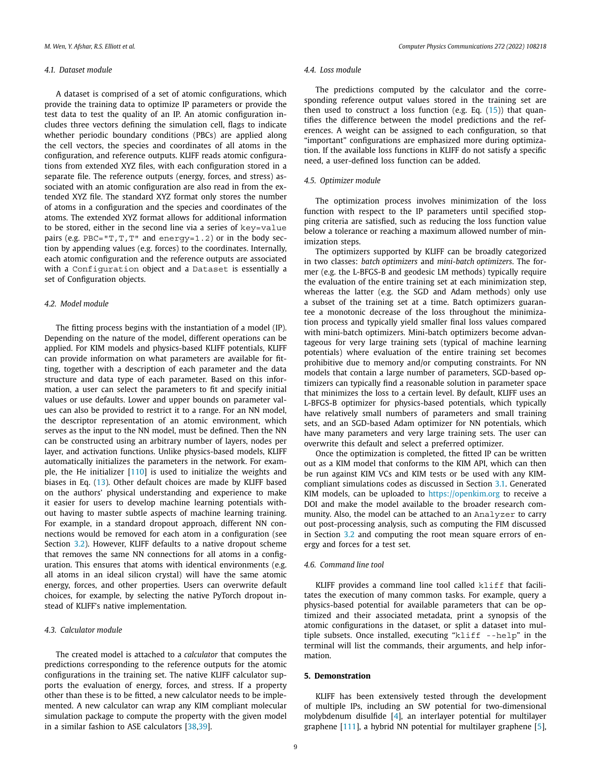## <span id="page-8-0"></span>*4.1. Dataset module*

A dataset is comprised of a set of atomic configurations, which provide the training data to optimize IP parameters or provide the test data to test the quality of an IP. An atomic configuration includes three vectors defining the simulation cell, flags to indicate whether periodic boundary conditions (PBCs) are applied along the cell vectors, the species and coordinates of all atoms in the configuration, and reference outputs. KLIFF reads atomic configurations from extended XYZ files, with each configuration stored in a separate file. The reference outputs (energy, forces, and stress) associated with an atomic configuration are also read in from the extended XYZ file. The standard XYZ format only stores the number of atoms in a configuration and the species and coordinates of the atoms. The extended XYZ format allows for additional information to be stored, either in the second line via a series of key=value pairs (e.g. PBC="T, T, T" and energy=1.2) or in the body section by appending values (e.g. forces) to the coordinates. Internally, each atomic configuration and the reference outputs are associated with a Configuration object and a Dataset is essentially a set of Configuration objects.

### *4.2. Model module*

The fitting process begins with the instantiation of a model (IP). Depending on the nature of the model, different operations can be applied. For KIM models and physics-based KLIFF potentials, KLIFF can provide information on what parameters are available for fitting, together with a description of each parameter and the data structure and data type of each parameter. Based on this information, a user can select the parameters to fit and specify initial values or use defaults. Lower and upper bounds on parameter values can also be provided to restrict it to a range. For an NN model, the descriptor representation of an atomic environment, which serves as the input to the NN model, must be defined. Then the NN can be constructed using an arbitrary number of layers, nodes per layer, and activation functions. Unlike physics-based models, KLIFF automatically initializes the parameters in the network. For example, the He initializer [\[110\]](#page-12-0) is used to initialize the weights and biases in Eq. ([13\)](#page-4-0). Other default choices are made by KLIFF based on the authors' physical understanding and experience to make it easier for users to develop machine learning potentials without having to master subtle aspects of machine learning training. For example, in a standard dropout approach, different NN connections would be removed for each atom in a configuration (see Section [3.2](#page-5-0)). However, KLIFF defaults to a native dropout scheme that removes the same NN connections for all atoms in a configuration. This ensures that atoms with identical environments (e.g. all atoms in an ideal silicon crystal) will have the same atomic energy, forces, and other properties. Users can overwrite default choices, for example, by selecting the native PyTorch dropout instead of KLIFF's native implementation.

# *4.3. Calculator module*

The created model is attached to a *calculator* that computes the predictions corresponding to the reference outputs for the atomic configurations in the training set. The native KLIFF calculator supports the evaluation of energy, forces, and stress. If a property other than these is to be fitted, a new calculator needs to be implemented. A new calculator can wrap any KIM compliant molecular simulation package to compute the property with the given model in a similar fashion to ASE calculators [\[38,39](#page-11-0)].

# *4.4. Loss module*

The predictions computed by the calculator and the corresponding reference output values stored in the training set are then used to construct a loss function (e.g. Eq.  $(15)$  $(15)$  $(15)$ ) that quantifies the difference between the model predictions and the references. A weight can be assigned to each configuration, so that "important" configurations are emphasized more during optimization. If the available loss functions in KLIFF do not satisfy a specific need, a user-defined loss function can be added.

### *4.5. Optimizer module*

The optimization process involves minimization of the loss function with respect to the IP parameters until specified stopping criteria are satisfied, such as reducing the loss function value below a tolerance or reaching a maximum allowed number of minimization steps.

The optimizers supported by KLIFF can be broadly categorized in two classes: *batch optimizers* and *mini-batch optimizers*. The former (e.g. the L-BFGS-B and geodesic LM methods) typically require the evaluation of the entire training set at each minimization step, whereas the latter (e.g. the SGD and Adam methods) only use a subset of the training set at a time. Batch optimizers guarantee a monotonic decrease of the loss throughout the minimization process and typically yield smaller final loss values compared with mini-batch optimizers. Mini-batch optimizers become advantageous for very large training sets (typical of machine learning potentials) where evaluation of the entire training set becomes prohibitive due to memory and/or computing constraints. For NN models that contain a large number of parameters, SGD-based optimizers can typically find a reasonable solution in parameter space that minimizes the loss to a certain level. By default, KLIFF uses an L-BFGS-B optimizer for physics-based potentials, which typically have relatively small numbers of parameters and small training sets, and an SGD-based Adam optimizer for NN potentials, which have many parameters and very large training sets. The user can overwrite this default and select a preferred optimizer.

Once the optimization is completed, the fitted IP can be written out as a KIM model that conforms to the KIM API, which can then be run against KIM VCs and KIM tests or be used with any KIMcompliant simulations codes as discussed in Section [3.1.](#page-5-0) Generated KIM models, can be uploaded to <https://openkim.org> to receive a DOI and make the model available to the broader research community. Also, the model can be attached to an Analyzer to carry out post-processing analysis, such as computing the FIM discussed in Section [3.2](#page-5-0) and computing the root mean square errors of energy and forces for a test set.

### *4.6. Command line tool*

KLIFF provides a command line tool called kliff that facilitates the execution of many common tasks. For example, query a physics-based potential for available parameters that can be optimized and their associated metadata, print a synopsis of the atomic configurations in the dataset, or split a dataset into multiple subsets. Once installed, executing "kliff --help" in the terminal will list the commands, their arguments, and help information.

# **5. Demonstration**

KLIFF has been extensively tested through the development of multiple IPs, including an SW potential for two-dimensional molybdenum disulfide [\[4](#page-11-0)], an interlayer potential for multilayer graphene [[111\]](#page-12-0), a hybrid NN potential for multilayer graphene [\[5\]](#page-11-0),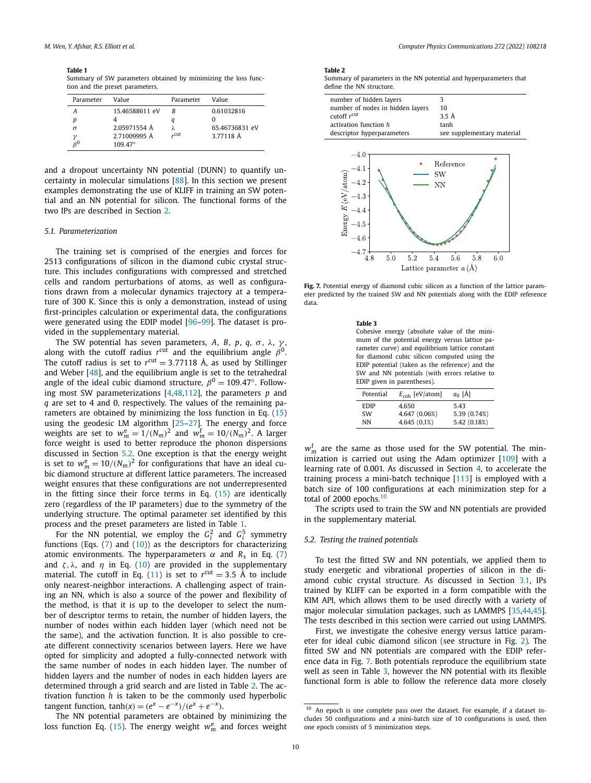<span id="page-9-0"></span>**Table 1** Summary of SW parameters obtained by minimizing the loss function and the preset parameters.

| Parameter | Value            | Parameter | Value          |
|-----------|------------------|-----------|----------------|
| А         | 15.46588611 eV   | R         | 0.61032816     |
| р         |                  |           |                |
| $\sigma$  | 2.05971554 Å     |           | 65.46736831 eV |
|           | 2.71009995 Å     | "cut      | 3.77118 Å      |
|           | $109.47^{\circ}$ |           |                |
|           |                  |           |                |

and a dropout uncertainty NN potential (DUNN) to quantify uncertainty in molecular simulations [[88](#page-12-0)]. In this section we present examples demonstrating the use of KLIFF in training an SW potential and an NN potential for silicon. The functional forms of the two IPs are described in Section [2](#page-3-0).

#### *5.1. Parameterization*

The training set is comprised of the energies and forces for 2513 configurations of silicon in the diamond cubic crystal structure. This includes configurations with compressed and stretched cells and random perturbations of atoms, as well as configurations drawn from a molecular dynamics trajectory at a temperature of 300 K. Since this is only a demonstration, instead of using first-principles calculation or experimental data, the configurations were generated using the EDIP model [\[96–99\]](#page-12-0). The dataset is provided in the supplementary material.

The SW potential has seven parameters, *A*, *B*, *p*, *q*, *σ* , *λ*, *γ* , along with the cutoff radius  $r^{\text{cut}}$  and the equilibrium angle  $\beta^0$ . The cutoff radius is set to  $r^{\text{cut}} = 3.77118$  Å, as used by Stillinger and Weber [\[48](#page-11-0)], and the equilibrium angle is set to the tetrahedral angle of the ideal cubic diamond structure,  $\beta^0 = 109.47^\circ$ . Following most SW parameterizations [[4,48](#page-11-0)[,112](#page-12-0)], the parameters *p* and *q* are set to 4 and 0, respectively. The values of the remaining parameters are obtained by minimizing the loss function in Eq. [\(15\)](#page-5-0) using the geodesic LM algorithm [[25](#page-11-0)–[27](#page-11-0)]. The energy and force weights are set to  $w_m^e = 1/(N_m)^2$  and  $w_m^f = 10/(N_m)^2$ . A larger force weight is used to better reproduce the phonon dispersions discussed in Section 5.2. One exception is that the energy weight is set to  $w_m^e = 10/(N_m)^2$  for configurations that have an ideal cubic diamond structure at different lattice parameters. The increased weight ensures that these configurations are not underrepresented in the fitting since their force terms in Eq. [\(15\)](#page-5-0) are identically zero (regardless of the IP parameters) due to the symmetry of the underlying structure. The optimal parameter set identified by this process and the preset parameters are listed in Table 1.

For the NN potential, we employ the  $G_i^2$  and  $G_i^5$  symmetry functions (Eqs.  $(7)$  and  $(10)$  $(10)$ ) as the descriptors for characterizing atomic environments. The hyperparameters  $\alpha$  and  $R_s$  in Eq. [\(7\)](#page-4-0) and  $\zeta$ ,  $\lambda$ , and  $\eta$  in Eq. ([10\)](#page-4-0) are provided in the supplementary material. The cutoff in Eq. [\(11](#page-4-0)) is set to  $r^{\text{cut}} = 3.5 \text{ Å}$  to include only nearest-neighbor interactions. A challenging aspect of training an NN, which is also a source of the power and flexibility of the method, is that it is up to the developer to select the number of descriptor terms to retain, the number of hidden layers, the number of nodes within each hidden layer (which need not be the same), and the activation function. It is also possible to create different connectivity scenarios between layers. Here we have opted for simplicity and adopted a fully-connected network with the same number of nodes in each hidden layer. The number of hidden layers and the number of nodes in each hidden layers are determined through a grid search and are listed in Table 2. The activation function *h* is taken to be the commonly used hyperbolic  $\tanh(x) = (e^{x} - e^{-x})/(e^{x} + e^{-x}).$ 

The NN potential parameters are obtained by minimizing the loss function Eq. [\(15\)](#page-5-0). The energy weight  $w_m^e$  and forces weight

#### **Table 2**

Summary of parameters in the NN potential and hyperparameters that define the NN structure.

| number of hidden layers<br>number of nodes in hidden layers<br>cutoff $r^{\text{cut}}$<br>activation function h<br>descriptor hyperparameters | 3<br>10<br>3.5 Å<br>tanh<br>see supplementary material                         |
|-----------------------------------------------------------------------------------------------------------------------------------------------|--------------------------------------------------------------------------------|
| 4.0<br>4.1<br>Energy $E$ (eV/atom)<br>4.2<br>4.3<br>4.4<br>4.5<br>$-4.6$<br>4.7<br>5.0<br>5.2<br>4.8                                          | Reference<br>SW<br>NN<br>5.6<br>6.0<br>5.8<br>5.4<br>Lattice parameter $a$ (A) |
|                                                                                                                                               |                                                                                |

Fig. 7. Potential energy of diamond cubic silicon as a function of the lattice parameter predicted by the trained SW and NN potentials along with the EDIP reference data.

| $\sim$<br>۰.<br>$\sim$<br>. .<br>× |
|------------------------------------|
|------------------------------------|

Cohesive energy (absolute value of the minimum of the potential energy versus lattice parameter curve) and equilibrium lattice constant for diamond cubic silicon computed using the EDIP potential (taken as the reference) and the SW and NN potentials (with errors relative to EDIP given in parentheses).

| Potential   | $E_{\rm coh}$ [eV/atom] | $a_0$ [Å]    |
|-------------|-------------------------|--------------|
| <b>EDIP</b> | 4.650                   | 5.43         |
| <b>SW</b>   | 4.647 (0.06%)           | 5.39 (0.74%) |
| NN          | 4.645 (0.1%)            | 5.42 (0.18%) |

*w*f *<sup>m</sup>* are the same as those used for the SW potential. The minimization is carried out using the Adam optimizer [\[109](#page-12-0)] with a learning rate of 0.001. As discussed in Section [4,](#page-7-0) to accelerate the training process a mini-batch technique [[113\]](#page-12-0) is employed with a batch size of 100 configurations at each minimization step for a total of 2000 epochs. $10$ 

The scripts used to train the SW and NN potentials are provided in the supplementary material.

#### *5.2. Testing the trained potentials*

To test the fitted SW and NN potentials, we applied them to study energetic and vibrational properties of silicon in the diamond cubic crystal structure. As discussed in Section [3.1](#page-5-0), IPs trained by KLIFF can be exported in a form compatible with the KIM API, which allows them to be used directly with a variety of major molecular simulation packages, such as LAMMPS [\[35,44,45\]](#page-11-0). The tests described in this section were carried out using LAMMPS.

First, we investigate the cohesive energy versus lattice parameter for ideal cubic diamond silicon (see structure in Fig. [2\)](#page-3-0). The fitted SW and NN potentials are compared with the EDIP reference data in Fig. 7. Both potentials reproduce the equilibrium state well as seen in Table 3, however the NN potential with its flexible functional form is able to follow the reference data more closely

 $10$  An epoch is one complete pass over the dataset. For example, if a dataset includes 50 configurations and a mini-batch size of 10 configurations is used, then one epoch consists of 5 minimization steps.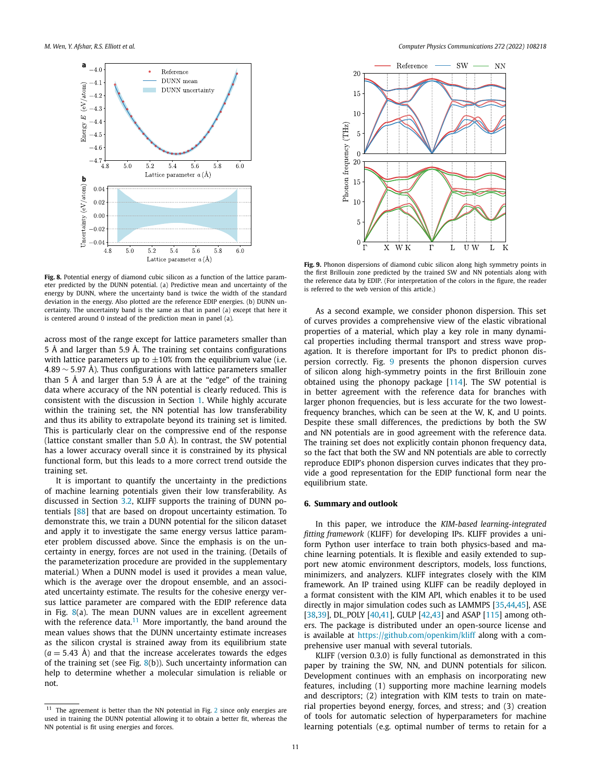<span id="page-10-0"></span>

**Fig. 8.** Potential energy of diamond cubic silicon as a function of the lattice parameter predicted by the DUNN potential. (a) Predictive mean and uncertainty of the energy by DUNN, where the uncertainty band is twice the width of the standard deviation in the energy. Also plotted are the reference EDIP energies. (b) DUNN uncertainty. The uncertainty band is the same as that in panel (a) except that here it is centered around 0 instead of the prediction mean in panel (a).

across most of the range except for lattice parameters smaller than 5 Å and larger than 5.9 Å. The training set contains configurations with lattice parameters up to  $\pm 10\%$  from the equilibrium value (i.e. 4*.*89 ∼ 5*.*97 Å). Thus configurations with lattice parameters smaller than 5 Å and larger than 5.9 Å are at the "edge" of the training data where accuracy of the NN potential is clearly reduced. This is consistent with the discussion in Section [1.](#page-1-0) While highly accurate within the training set, the NN potential has low transferability and thus its ability to extrapolate beyond its training set is limited. This is particularly clear on the compressive end of the response (lattice constant smaller than 5.0 Å). In contrast, the SW potential has a lower accuracy overall since it is constrained by its physical functional form, but this leads to a more correct trend outside the training set.

It is important to quantify the uncertainty in the predictions of machine learning potentials given their low transferability. As discussed in Section [3.2](#page-5-0), KLIFF supports the training of DUNN potentials [\[88](#page-12-0)] that are based on dropout uncertainty estimation. To demonstrate this, we train a DUNN potential for the silicon dataset and apply it to investigate the same energy versus lattice parameter problem discussed above. Since the emphasis is on the uncertainty in energy, forces are not used in the training. (Details of the parameterization procedure are provided in the supplementary material.) When a DUNN model is used it provides a mean value, which is the average over the dropout ensemble, and an associated uncertainty estimate. The results for the cohesive energy versus lattice parameter are compared with the EDIP reference data in Fig. 8(a). The mean DUNN values are in excellent agreement with the reference data. $11$  More importantly, the band around the mean values shows that the DUNN uncertainty estimate increases as the silicon crystal is strained away from its equilibrium state  $(a = 5.43 \text{ Å})$  and that the increase accelerates towards the edges of the training set (see Fig.  $8(b)$ ). Such uncertainty information can help to determine whether a molecular simulation is reliable or not.



**Fig. 9.** Phonon dispersions of diamond cubic silicon along high symmetry points in the first Brillouin zone predicted by the trained SW and NN potentials along with the reference data by EDIP. (For interpretation of the colors in the figure, the reader is referred to the web version of this article.)

As a second example, we consider phonon dispersion. This set of curves provides a comprehensive view of the elastic vibrational properties of a material, which play a key role in many dynamical properties including thermal transport and stress wave propagation. It is therefore important for IPs to predict phonon dispersion correctly. Fig. 9 presents the phonon dispersion curves of silicon along high-symmetry points in the first Brillouin zone obtained using the phonopy package [\[114\]](#page-12-0). The SW potential is in better agreement with the reference data for branches with larger phonon frequencies, but is less accurate for the two lowestfrequency branches, which can be seen at the W, K, and U points. Despite these small differences, the predictions by both the SW and NN potentials are in good agreement with the reference data. The training set does not explicitly contain phonon frequency data, so the fact that both the SW and NN potentials are able to correctly reproduce EDIP's phonon dispersion curves indicates that they provide a good representation for the EDIP functional form near the equilibrium state.

# **6. Summary and outlook**

In this paper, we introduce the *KIM-based learning-integrated fitting framework* (KLIFF) for developing IPs. KLIFF provides a uniform Python user interface to train both physics-based and machine learning potentials. It is flexible and easily extended to support new atomic environment descriptors, models, loss functions, minimizers, and analyzers. KLIFF integrates closely with the KIM framework. An IP trained using KLIFF can be readily deployed in a format consistent with the KIM API, which enables it to be used directly in major simulation codes such as LAMMPS [[35,44,45](#page-11-0)], ASE [\[38,39\]](#page-11-0), DL\_POLY [\[40,41](#page-11-0)], GULP [\[42,43](#page-11-0)] and ASAP [[115\]](#page-12-0) among others. The package is distributed under an open-source license and is available at <https://github.com/openkim/kliff> along with a comprehensive user manual with several tutorials.

KLIFF (version 0.3.0) is fully functional as demonstrated in this paper by training the SW, NN, and DUNN potentials for silicon. Development continues with an emphasis on incorporating new features, including (1) supporting more machine learning models and descriptors; (2) integration with KIM tests to train on material properties beyond energy, forces, and stress; and (3) creation of tools for automatic selection of hyperparameters for machine learning potentials (e.g. optimal number of terms to retain for a

 $11$  The agreement is better than the NN potential in Fig. [2](#page-3-0) since only energies are used in training the DUNN potential allowing it to obtain a better fit, whereas the NN potential is fit using energies and forces.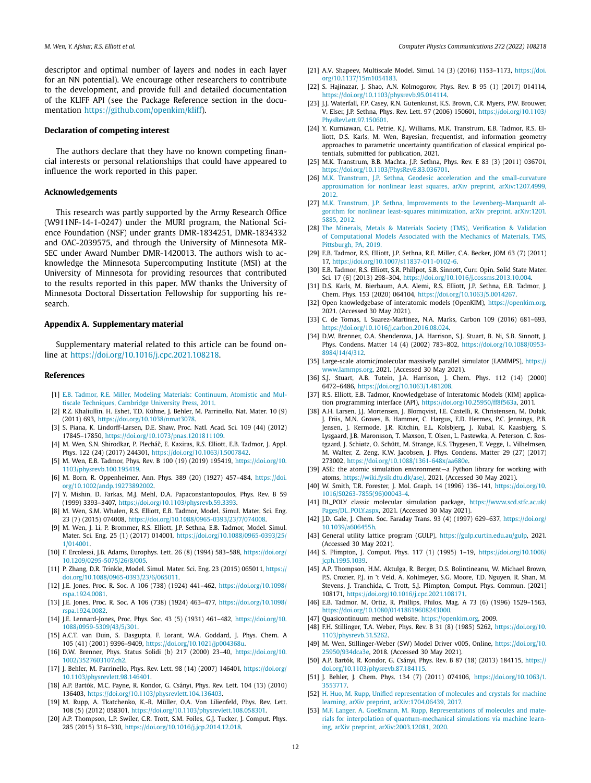<span id="page-11-0"></span>descriptor and optimal number of layers and nodes in each layer for an NN potential). We encourage other researchers to contribute to the development, and provide full and detailed documentation of the KLIFF API (see the Package Reference section in the documentation <https://github.com/openkim/kliff>).

### **Declaration of competing interest**

The authors declare that they have no known competing financial interests or personal relationships that could have appeared to influence the work reported in this paper.

#### **Acknowledgements**

This research was partly supported by the Army Research Office (W911NF-14-1-0247) under the MURI program, the National Science Foundation (NSF) under grants DMR-1834251, DMR-1834332 and OAC-2039575, and through the University of Minnesota MR-SEC under Award Number DMR-1420013. The authors wish to acknowledge the Minnesota Supercomputing Institute (MSI) at the University of Minnesota for providing resources that contributed to the results reported in this paper. MW thanks the University of Minnesota Doctoral Dissertation Fellowship for supporting his research.

### **Appendix A. Supplementary material**

Supplementary material related to this article can be found online at <https://doi.org/10.1016/j.cpc.2021.108218>.

#### **References**

- [1] E.B. Tadmor, R.E. Miller, Modeling Materials: [Continuum,](http://refhub.elsevier.com/S0010-4655(21)00330-1/bibF911C2C7B188E7862C933C716DFCDB65s1) Atomistic and Multiscale [Techniques,](http://refhub.elsevier.com/S0010-4655(21)00330-1/bibF911C2C7B188E7862C933C716DFCDB65s1) Cambridge University Press, 2011.
- [2] R.Z. Khaliullin, H. Eshet, T.D. Kühne, J. Behler, M. Parrinello, Nat. Mater. 10 (9) (2011) 693, <https://doi.org/10.1038/nmat3078>.
- [3] S. Piana, K. Lindorff-Larsen, D.E. Shaw, Proc. Natl. Acad. Sci. 109 (44) (2012) 17845–17850, [https://doi.org/10.1073/pnas.1201811109.](https://doi.org/10.1073/pnas.1201811109)
- [4] M. Wen, S.N. Shirodkar, P. Plecháč, E. Kaxiras, R.S. Elliott, E.B. Tadmor, J. Appl. Phys. 122 (24) (2017) 244301, <https://doi.org/10.1063/1.5007842>.
- [5] M. Wen, E.B. Tadmor, Phys. Rev. B 100 (19) (2019) 195419, [https://doi.org/10.](https://doi.org/10.1103/physrevb.100.195419) [1103/physrevb.100.195419.](https://doi.org/10.1103/physrevb.100.195419)
- [6] M. Born, R. Oppenheimer, Ann. Phys. 389 (20) (1927) 457–484, [https://doi.](https://doi.org/10.1002/andp.19273892002) [org/10.1002/andp.19273892002](https://doi.org/10.1002/andp.19273892002).
- [7] Y. Mishin, D. Farkas, M.J. Mehl, D.A. Papaconstantopoulos, Phys. Rev. B 59 (1999) 3393–3407, <https://doi.org/10.1103/physrevb.59.3393>.
- [8] M. Wen, S.M. Whalen, R.S. Elliott, E.B. Tadmor, Model. Simul. Mater. Sci. Eng. 23 (7) (2015) 074008, [https://doi.org/10.1088/0965-0393/23/7/074008.](https://doi.org/10.1088/0965-0393/23/7/074008)
- [9] M. Wen, J. Li, P. Brommer, R.S. Elliott, J.P. Sethna, E.B. Tadmor, Model. Simul. Mater. Sci. Eng. 25 (1) (2017) 014001, [https://doi.org/10.1088/0965-0393/25/](https://doi.org/10.1088/0965-0393/25/1/014001) [1/014001](https://doi.org/10.1088/0965-0393/25/1/014001).
- [10] F. Ercolessi, J.B. Adams, Europhys. Lett. 26 (8) (1994) 583–588, [https://doi.org/](https://doi.org/10.1209/0295-5075/26/8/005) [10.1209/0295-5075/26/8/005.](https://doi.org/10.1209/0295-5075/26/8/005)
- [11] P. Zhang, D.R. Trinkle, Model. Simul. Mater. Sci. Eng. 23 (2015) 065011, [https://](https://doi.org/10.1088/0965-0393/23/6/065011) [doi.org/10.1088/0965-0393/23/6/065011](https://doi.org/10.1088/0965-0393/23/6/065011).
- [12] J.E. Jones, Proc. R. Soc. A 106 (738) (1924) 441–462, [https://doi.org/10.1098/](https://doi.org/10.1098/rspa.1924.0081) [rspa.1924.0081](https://doi.org/10.1098/rspa.1924.0081).
- [13] J.E. Jones, Proc. R. Soc. A 106 (738) (1924) 463–477, [https://doi.org/10.1098/](https://doi.org/10.1098/rspa.1924.0082) [rspa.1924.0082](https://doi.org/10.1098/rspa.1924.0082).
- [14] J.E. Lennard-Jones, Proc. Phys. Soc. 43 (5) (1931) 461–482, [https://doi.org/10.](https://doi.org/10.1088/0959-5309/43/5/301) [1088/0959-5309/43/5/301.](https://doi.org/10.1088/0959-5309/43/5/301)
- [15] A.C.T. van Duin, S. Dasgupta, F. Lorant, W.A. Goddard, J. Phys. Chem. A 105 (41) (2001) 9396–9409, [https://doi.org/10.1021/jp004368u.](https://doi.org/10.1021/jp004368u)
- [16] D.W. Brenner, Phys. Status Solidi (b) 217 (2000) 23–40, [https://doi.org/10.](https://doi.org/10.1002/3527603107.ch2) [1002/3527603107.ch2](https://doi.org/10.1002/3527603107.ch2).
- [17] J. Behler, M. Parrinello, Phys. Rev. Lett. 98 (14) (2007) 146401, [https://doi.org/](https://doi.org/10.1103/physrevlett.98.146401) [10.1103/physrevlett.98.146401](https://doi.org/10.1103/physrevlett.98.146401).
- [18] A.P. Bartók, M.C. Payne, R. Kondor, G. Csányi, Phys. Rev. Lett. 104 (13) (2010) 136403, <https://doi.org/10.1103/physrevlett.104.136403>.
- [19] M. Rupp, A. Tkatchenko, K.-R. Müller, O.A. Von Lilienfeld, Phys. Rev. Lett. 108 (5) (2012) 058301, [https://doi.org/10.1103/physrevlett.108.058301.](https://doi.org/10.1103/physrevlett.108.058301)
- [20] A.P. Thompson, L.P. Swiler, C.R. Trott, S.M. Foiles, G.J. Tucker, J. Comput. Phys. 285 (2015) 316–330, <https://doi.org/10.1016/j.jcp.2014.12.018>.
- [21] A.V. Shapeev, Multiscale Model. Simul. 14 (3) (2016) 1153–1173, [https://doi.](https://doi.org/10.1137/15m1054183) [org/10.1137/15m1054183.](https://doi.org/10.1137/15m1054183)
- [22] S. Hajinazar, J. Shao, A.N. Kolmogorov, Phys. Rev. B 95 (1) (2017) 014114, [https://doi.org/10.1103/physrevb.95.014114.](https://doi.org/10.1103/physrevb.95.014114)
- [23] J.J. Waterfall, F.P. Casey, R.N. Gutenkunst, K.S. Brown, C.R. Myers, P.W. Brouwer, V. Elser, J.P. Sethna, Phys. Rev. Lett. 97 (2006) 150601, [https://doi.org/10.1103/](https://doi.org/10.1103/PhysRevLett.97.150601) [PhysRevLett.97.150601](https://doi.org/10.1103/PhysRevLett.97.150601).
- [24] Y. Kurniawan, C.L. Petrie, K.J. Williams, M.K. Transtrum, E.B. Tadmor, R.S. Elliott, D.S. Karls, M. Wen, Bayesian, frequentist, and information geometry approaches to parametric uncertainty quantification of classical empirical potentials, submitted for publication, 2021.
- [25] M.K. Transtrum, B.B. Machta, J.P. Sethna, Phys. Rev. E 83 (3) (2011) 036701, <https://doi.org/10.1103/PhysRevE.83.036701>.
- [26] M.K. Transtrum, J.P. Sethna, Geodesic acceleration and the [small-curvature](http://refhub.elsevier.com/S0010-4655(21)00330-1/bibEF85895319901AA908D9755CBCF15C73s1) approximation for nonlinear least squares, arXiv preprint, [arXiv:1207.4999,](http://refhub.elsevier.com/S0010-4655(21)00330-1/bibEF85895319901AA908D9755CBCF15C73s1) [2012.](http://refhub.elsevier.com/S0010-4655(21)00330-1/bibEF85895319901AA908D9755CBCF15C73s1)
- [27] M.K. Transtrum, J.P. Sethna, Improvements to the Levenberg-Marquardt algorithm for nonlinear least-squares [minimization,](http://refhub.elsevier.com/S0010-4655(21)00330-1/bib8C6E1DDD96A788A8DBEA71E4E7BFEB39s1) arXiv preprint, arXiv:1201. [5885,](http://refhub.elsevier.com/S0010-4655(21)00330-1/bib8C6E1DDD96A788A8DBEA71E4E7BFEB39s1) 2012.
- [28] The Minerals, Metals & Materials [Society \(TMS\),](http://refhub.elsevier.com/S0010-4655(21)00330-1/bibDC35300C4B1DC8B61FE1147D60CA9408s1) Verification & Validation of [Computational](http://refhub.elsevier.com/S0010-4655(21)00330-1/bibDC35300C4B1DC8B61FE1147D60CA9408s1) Models Associated with the Mechanics of Materials, TMS, [Pittsburgh,](http://refhub.elsevier.com/S0010-4655(21)00330-1/bibDC35300C4B1DC8B61FE1147D60CA9408s1) PA, 2019.
- [29] E.B. Tadmor, R.S. Elliott, J.P. Sethna, R.E. Miller, C.A. Becker, JOM 63 (7) (2011) 17, [https://doi.org/10.1007/s11837-011-0102-6.](https://doi.org/10.1007/s11837-011-0102-6)
- [30] E.B. Tadmor, R.S. Elliott, S.R. Phillpot, S.B. Sinnott, Curr. Opin. Solid State Mater. Sci. 17 (6) (2013) 298–304, [https://doi.org/10.1016/j.cossms.2013.10.004.](https://doi.org/10.1016/j.cossms.2013.10.004)
- [31] D.S. Karls, M. Bierbaum, A.A. Alemi, R.S. Elliott, J.P. Sethna, E.B. Tadmor, J. Chem. Phys. 153 (2020) 064104, [https://doi.org/10.1063/5.0014267.](https://doi.org/10.1063/5.0014267)
- [32] Open knowledgebase of interatomic models (OpenKIM), <https://openkim.org>, 2021. (Accessed 30 May 2021).
- [33] C. de Tomas, I. Suarez-Martinez, N.A. Marks, Carbon 109 (2016) 681-693, [https://doi.org/10.1016/j.carbon.2016.08.024.](https://doi.org/10.1016/j.carbon.2016.08.024)
- [34] D.W. Brenner, O.A. Shenderova, J.A. Harrison, S.J. Stuart, B. Ni, S.B. Sinnott, J. Phys. Condens. Matter 14 (4) (2002) 783–802, [https://doi.org/10.1088/0953-](https://doi.org/10.1088/0953-8984/14/4/312) [8984/14/4/312.](https://doi.org/10.1088/0953-8984/14/4/312)
- [35] Large-scale atomic/molecular massively parallel simulator (LAMMPS), [https://](https://www.lammps.org) [www.lammps.org](https://www.lammps.org), 2021. (Accessed 30 May 2021).
- [36] S.J. Stuart, A.B. Tutein, J.A. Harrison, J. Chem. Phys. 112 (14) (2000) 6472–6486, <https://doi.org/10.1063/1.481208>.
- [37] R.S. Elliott, E.B. Tadmor, Knowledgebase of Interatomic Models (KIM) application programming interface (API), [https://doi.org/10.25950/ff8f563a,](https://doi.org/10.25950/ff8f563a) 2011.
- [38] A.H. Larsen, J.J. Mortensen, J. Blomqvist, I.E. Castelli, R. Christensen, M. Dułak, J. Friis, M.N. Groves, B. Hammer, C. Hargus, E.D. Hermes, P.C. Jennings, P.B. Jensen, J. Kermode, J.R. Kitchin, E.L. Kolsbjerg, J. Kubal, K. Kaasbjerg, S. Lysgaard, J.B. Maronsson, T. Maxson, T. Olsen, L. Pastewka, A. Peterson, C. Rostgaard, J. Schiøtz, O. Schütt, M. Strange, K.S. Thygesen, T. Vegge, L. Vilhelmsen, M. Walter, Z. Zeng, K.W. Jacobsen, J. Phys. Condens. Matter 29 (27) (2017) 273002, <https://doi.org/10.1088/1361-648x/aa680e>.
- [39] ASE: the atomic simulation environment—a Python library for working with atoms, <https://wiki.fysik.dtu.dk/ase/>, 2021. (Accessed 30 May 2021).
- [40] W. Smith, T.R. Forester, J. Mol. Graph. 14 (1996) 136–141, [https://doi.org/10.](https://doi.org/10.1016/S0263-7855(96)00043-4) [1016/S0263-7855\(96\)00043-4](https://doi.org/10.1016/S0263-7855(96)00043-4).
- [41] DL\_POLY classic molecular simulation package, [https://www.scd.stfc.ac.uk/](https://www.scd.stfc.ac.uk/Pages/DL_POLY.aspx) [Pages/DL\\_POLY.aspx,](https://www.scd.stfc.ac.uk/Pages/DL_POLY.aspx) 2021. (Accessed 30 May 2021).
- [42] J.D. Gale, J. Chem. Soc. Faraday Trans. 93 (4) (1997) 629–637, [https://doi.org/](https://doi.org/10.1039/a606455h) [10.1039/a606455h](https://doi.org/10.1039/a606455h).
- [43] General utility lattice program (GULP), <https://gulp.curtin.edu.au/gulp>, 2021. (Accessed 30 May 2021).
- [44] S. Plimpton, J. Comput. Phys. 117 (1) (1995) 1–19, [https://doi.org/10.1006/](https://doi.org/10.1006/jcph.1995.1039) [jcph.1995.1039](https://doi.org/10.1006/jcph.1995.1039).
- [45] A.P. Thompson, H.M. Aktulga, R. Berger, D.S. Bolintineanu, W. Michael Brown, P.S. Crozier, P.J. in 't Veld, A. Kohlmeyer, S.G. Moore, T.D. Nguyen, R. Shan, M. Stevens, J. Tranchida, C. Trott, S.J. Plimpton, Comput. Phys. Commun. (2021) 108171, <https://doi.org/10.1016/j.cpc.2021.108171>.
- [46] E.B. Tadmor, M. Ortiz, R. Phillips, Philos. Mag. A 73 (6) (1996) 1529–1563, [https://doi.org/10.1080/01418619608243000.](https://doi.org/10.1080/01418619608243000)
- [47] Quasicontinuum method website, [https://openkim.org,](https://openkim.org) 2009.
- [48] F.H. Stillinger, T.A. Weber, Phys. Rev. B 31 (8) (1985) 5262, [https://doi.org/10.](https://doi.org/10.1103/physrevb.31.5262) [1103/physrevb.31.5262](https://doi.org/10.1103/physrevb.31.5262).
- [49] M. Wen, Stillinger-Weber (SW) Model Driver v005, Online, [https://doi.org/10.](https://doi.org/10.25950/934dca3e) [25950/934dca3e,](https://doi.org/10.25950/934dca3e) 2018. (Accessed 30 May 2021).
- [50] A.P. Bartók, R. Kondor, G. Csányi, Phys. Rev. B 87 (18) (2013) 184115, [https://](https://doi.org/10.1103/physrevb.87.184115) [doi.org/10.1103/physrevb.87.184115](https://doi.org/10.1103/physrevb.87.184115).
- [51] J. Behler, J. Chem. Phys. 134 (7) (2011) 074106, [https://doi.org/10.1063/1.](https://doi.org/10.1063/1.3553717) [3553717.](https://doi.org/10.1063/1.3553717)
- [52] H. Huo, M. Rupp, Unified [representation](http://refhub.elsevier.com/S0010-4655(21)00330-1/bibFBCF98818C7420DE0EC29EE92EB3970Fs1) of molecules and crystals for machine learning, arXiv preprint, [arXiv:1704.06439,](http://refhub.elsevier.com/S0010-4655(21)00330-1/bibFBCF98818C7420DE0EC29EE92EB3970Fs1) 2017.
- [53] M.F. Langer, A. Goeßmann, M. Rupp, [Representations](http://refhub.elsevier.com/S0010-4655(21)00330-1/bib6C561E3C7485B69FE10959D8FEADD430s1) of molecules and materials for interpolation of [quantum-mechanical](http://refhub.elsevier.com/S0010-4655(21)00330-1/bib6C561E3C7485B69FE10959D8FEADD430s1) simulations via machine learning, arXiv preprint, [arXiv:2003.12081,](http://refhub.elsevier.com/S0010-4655(21)00330-1/bib6C561E3C7485B69FE10959D8FEADD430s1) 2020.